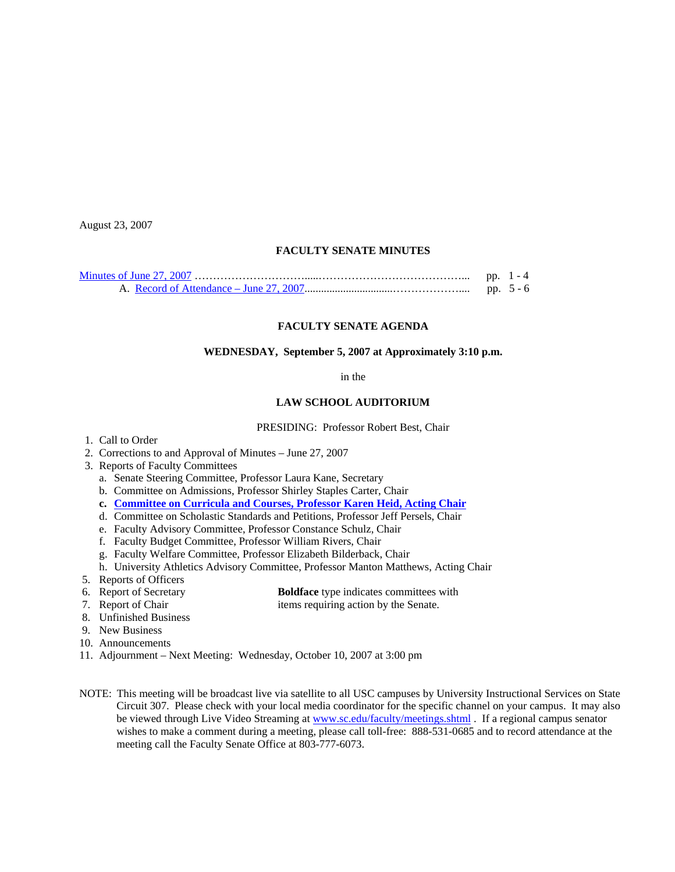August 23, 2007

## **FACULTY SENATE MINUTES**

|  | pp. $1 - 4$ |
|--|-------------|
|  | pp. $5 - 6$ |

## **FACULTY SENATE AGENDA**

#### **WEDNESDAY, September 5, 2007 at Approximately 3:10 p.m.**

#### in the

## **LAW SCHOOL AUDITORIUM**

#### PRESIDING: Professor Robert Best, Chair

- 1. Call to Order
- 2. Corrections to and Approval of Minutes June 27, 2007
- 3. Reports of Faculty Committees
	- a. Senate Steering Committee, Professor Laura Kane, Secretary
	- b. Committee on Admissions, Professor Shirley Staples Carter, Chair
	- **c. [Committee on Curricula and Courses, Professor Karen Heid, Acting Chair](http://www.sc.edu/faculty/senate/07/agenda/0905.cc.pdf)**
	- d. Committee on Scholastic Standards and Petitions, Professor Jeff Persels, Chair
	- e. Faculty Advisory Committee, Professor Constance Schulz, Chair
	- f. Faculty Budget Committee, Professor William Rivers, Chair
	- g. Faculty Welfare Committee, Professor Elizabeth Bilderback, Chair
	- h. University Athletics Advisory Committee, Professor Manton Matthews, Acting Chair
- 5. Reports of Officers
- 6. Report of Secretary **Boldface** type indicates committees with<br> **Boldface** type indicates committees with<br> **Boldface** type indicates committees with<br> **Boldface** type indicates committees with
- 
- 8. Unfinished Business
- 9. New Business
- 10. Announcements
- 11. Adjournment Next Meeting: Wednesday, October 10, 2007 at 3:00 pm
- NOTE: This meeting will be broadcast live via satellite to all USC campuses by University Instructional Services on State Circuit 307. Please check with your local media coordinator for the specific channel on your campus. It may also be viewed through Live Video Streaming at [www.sc.edu/faculty/meetings.shtml](http://www.sc.edu/faculty/meetings.shtml) . If a regional campus senator wishes to make a comment during a meeting, please call toll-free: 888-531-0685 and to record attendance at the meeting call the Faculty Senate Office at 803-777-6073.

items requiring action by the Senate.